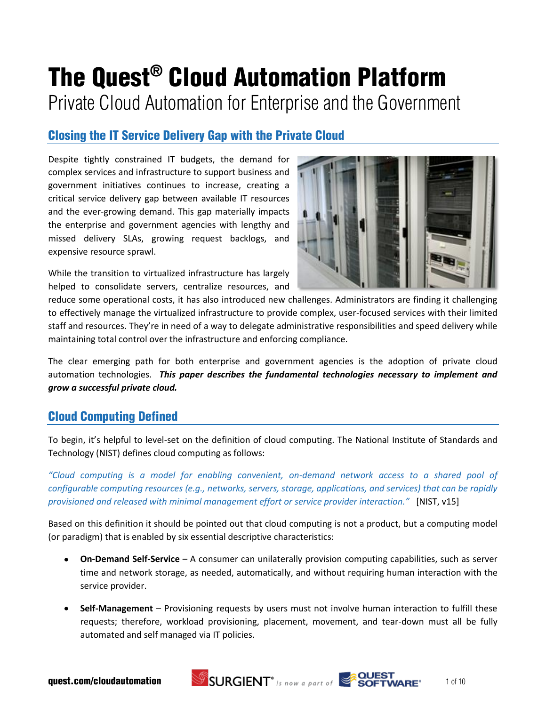# The Quest® Cloud Automation Platform Private Cloud Automation for Enterprise and the Government

# Closing the IT Service Delivery Gap with the Private Cloud

Despite tightly constrained IT budgets, the demand for complex services and infrastructure to support business and government initiatives continues to increase, creating a critical service delivery gap between available IT resources and the ever-growing demand. This gap materially impacts the enterprise and government agencies with lengthy and missed delivery SLAs, growing request backlogs, and expensive resource sprawl.



While the transition to virtualized infrastructure has largely helped to consolidate servers, centralize resources, and

reduce some operational costs, it has also introduced new challenges. Administrators are finding it challenging to effectively manage the virtualized infrastructure to provide complex, user-focused services with their limited staff and resources. They're in need of a way to delegate administrative responsibilities and speed delivery while maintaining total control over the infrastructure and enforcing compliance.

The clear emerging path for both enterprise and government agencies is the adoption of private cloud automation technologies. *This paper describes the fundamental technologies necessary to implement and grow a successful private cloud.* 

# Cloud Computing Defined

To begin, it's helpful to level-set on the definition of cloud computing. The National Institute of Standards and Technology (NIST) defines cloud computing as follows:

*"Cloud computing is a model for enabling convenient, on-demand network access to a shared pool of configurable computing resources (e.g., networks, servers, storage, applications, and services) that can be rapidly provisioned and released with minimal management effort or service provider interaction."* [NIST, v15]

Based on this definition it should be pointed out that cloud computing is not a product, but a computing model (or paradigm) that is enabled by six essential descriptive characteristics:

- **On-Demand Self-Service** A consumer can unilaterally provision computing capabilities, such as server time and network storage, as needed, automatically, and without requiring human interaction with the service provider.
- **Self-Management** Provisioning requests by users must not involve human interaction to fulfill these requests; therefore, workload provisioning, placement, movement, and tear-down must all be fully automated and self managed via IT policies.

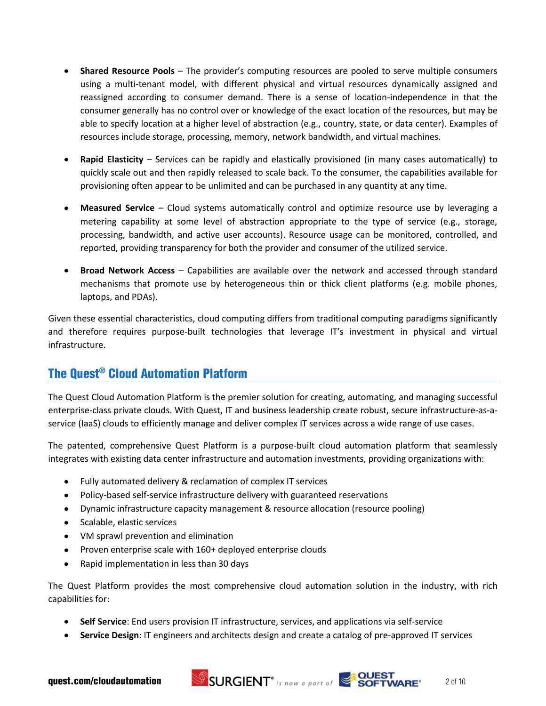- **Shared Resource Pools** The provider's computing resources are pooled to serve multiple consumers using a multi-tenant model, with different physical and virtual resources dynamically assigned and reassigned according to consumer demand. There is a sense of location-independence in that the consumer generally has no control over or knowledge of the exact location of the resources, but may be able to specify location at a higher level of abstraction (e.g., country, state, or data center). Examples of resources include storage, processing, memory, network bandwidth, and virtual machines.
- **Rapid Elasticity** Services can be rapidly and elastically provisioned (in many cases automatically) to  $\bullet$ quickly scale out and then rapidly released to scale back. To the consumer, the capabilities available for provisioning often appear to be unlimited and can be purchased in any quantity at any time.
- **Measured Service** Cloud systems automatically control and optimize resource use by leveraging a metering capability at some level of abstraction appropriate to the type of service (e.g., storage, processing, bandwidth, and active user accounts). Resource usage can be monitored, controlled, and reported, providing transparency for both the provider and consumer of the utilized service.
- **Broad Network Access** Capabilities are available over the network and accessed through standard mechanisms that promote use by heterogeneous thin or thick client platforms (e.g. mobile phones, laptops, and PDAs).

Given these essential characteristics, cloud computing differs from traditional computing paradigms significantly and therefore requires purpose-built technologies that leverage IT's investment in physical and virtual infrastructure.

# The Quest® Cloud Automation Platform

The Quest Cloud Automation Platform is the premier solution for creating, automating, and managing successful enterprise-class private clouds. With Quest, IT and business leadership create robust, secure infrastructure-as-aservice (IaaS) clouds to efficiently manage and deliver complex IT services across a wide range of use cases.

The patented, comprehensive Quest Platform is a purpose-built cloud automation platform that seamlessly integrates with existing data center infrastructure and automation investments, providing organizations with:

- Fully automated delivery & reclamation of complex IT services
- Policy-based self-service infrastructure delivery with guaranteed reservations
- Dynamic infrastructure capacity management & resource allocation (resource pooling)
- Scalable, elastic services
- VM sprawl prevention and elimination
- Proven enterprise scale with 160+ deployed enterprise clouds
- Rapid implementation in less than 30 days  $\bullet$

The Quest Platform provides the most comprehensive cloud automation solution in the industry, with rich capabilities for:

- **Self Service**: End users provision IT infrastructure, services, and applications via self-service
- **Service Design**: IT engineers and architects design and create a catalog of pre-approved IT services



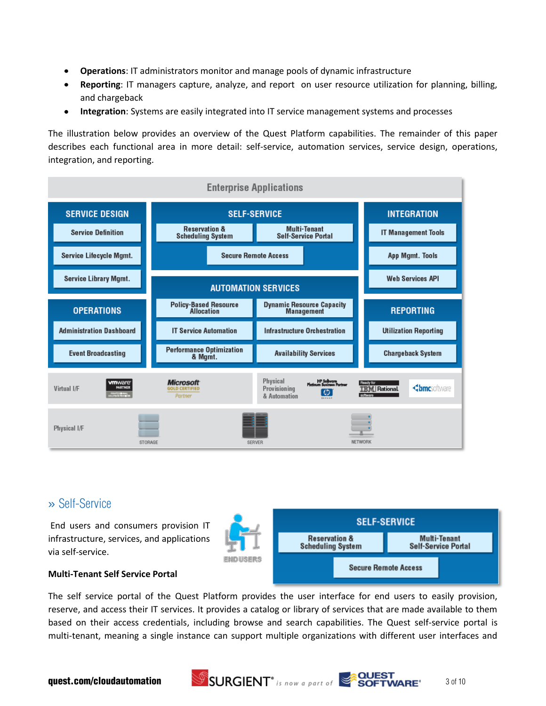- **Operations**: IT administrators monitor and manage pools of dynamic infrastructure  $\bullet$
- **Reporting**: IT managers capture, analyze, and report on user resource utilization for planning, billing, and chargeback
- **Integration**: Systems are easily integrated into IT service management systems and processes

The illustration below provides an overview of the Quest Platform capabilities. The remainder of this paper describes each functional area in more detail: self-service, automation services, service design, operations, integration, and reporting.



# » Self-Service

End users and consumers provision IT infrastructure, services, and applications via self-service.



#### **Multi-Tenant Self Service Portal**

The self service portal of the Quest Platform provides the user interface for end users to easily provision, reserve, and access their IT services. It provides a catalog or library of services that are made available to them based on their access credentials, including browse and search capabilities. The Quest self-service portal is multi-tenant, meaning a single instance can support multiple organizations with different user interfaces and

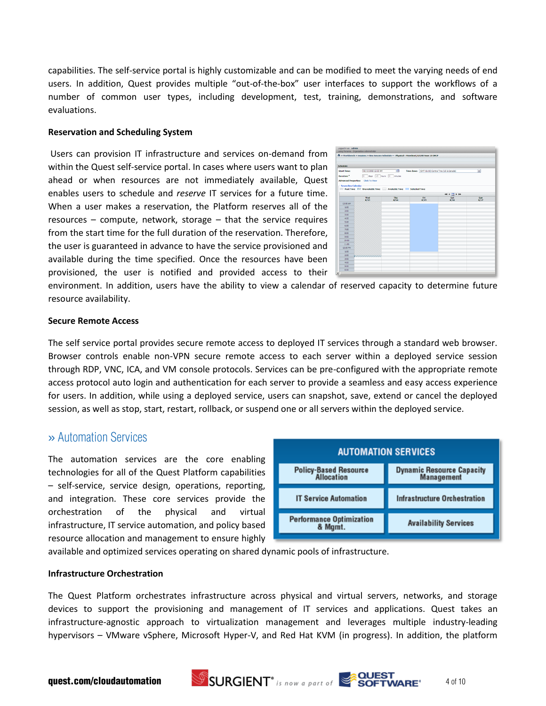capabilities. The self-service portal is highly customizable and can be modified to meet the varying needs of end users. In addition, Quest provides multiple "out-of-the-box" user interfaces to support the workflows of a number of common user types, including development, test, training, demonstrations, and software evaluations.

#### **Reservation and Scheduling System**

Users can provision IT infrastructure and services on-demand from within the Quest self-service portal. In cases where users want to plan ahead or when resources are not immediately available, Quest enables users to schedule and *reserve* IT services for a future time. When a user makes a reservation, the Platform reserves all of the resources – compute, network, storage – that the service requires from the start time for the full duration of the reservation. Therefore, the user is guaranteed in advance to have the service provisioned and available during the time specified. Once the resources have been provisioned, the user is notified and provided access to their



environment. In addition, users have the ability to view a calendar of reserved capacity to determine future resource availability.

#### **Secure Remote Access**

The self service portal provides secure remote access to deployed IT services through a standard web browser. Browser controls enable non-VPN secure remote access to each server within a deployed service session through RDP, VNC, ICA, and VM console protocols. Services can be pre-configured with the appropriate remote access protocol auto login and authentication for each server to provide a seamless and easy access experience for users. In addition, while using a deployed service, users can snapshot, save, extend or cancel the deployed session, as well as stop, start, restart, rollback, or suspend one or all servers within the deployed service.

# » Automation Services

The automation services are the core enabling technologies for all of the Quest Platform capabilities – self-service, service design, operations, reporting, and integration. These core services provide the orchestration of the physical and virtual infrastructure, IT service automation, and policy based resource allocation and management to ensure highly

| <b>AUTOMATION SERVICES</b>                 |                                                |  |  |  |  |
|--------------------------------------------|------------------------------------------------|--|--|--|--|
| <b>Policy-Based Resource</b><br>Allocation | <b>Dynamic Resource Capacity</b><br>Management |  |  |  |  |
| <b>IT Service Automation</b>               | <b>Infrastructure Orchestration</b>            |  |  |  |  |
| <b>Performance Optimization</b><br>& Mamt. | <b>Availability Services</b>                   |  |  |  |  |

available and optimized services operating on shared dynamic pools of infrastructure.

#### **Infrastructure Orchestration**

The Quest Platform orchestrates infrastructure across physical and virtual servers, networks, and storage devices to support the provisioning and management of IT services and applications. Quest takes an infrastructure-agnostic approach to virtualization management and leverages multiple industry-leading hypervisors – VMware vSphere, Microsoft Hyper-V, and Red Hat KVM (in progress). In addition, the platform

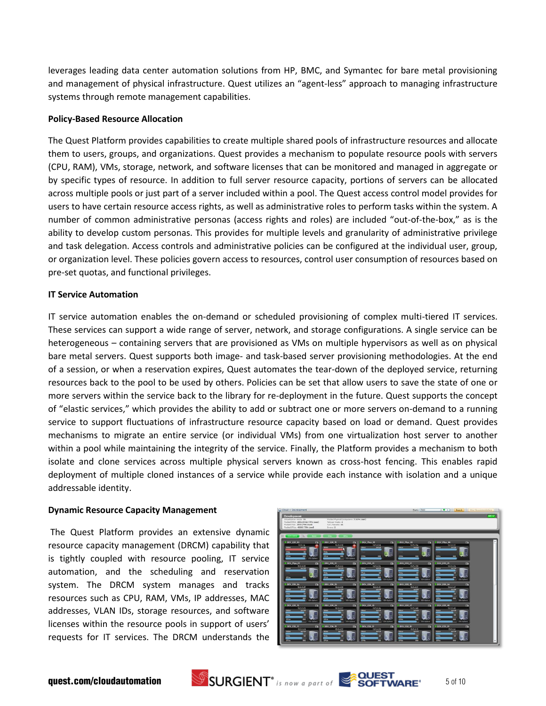leverages leading data center automation solutions from HP, BMC, and Symantec for bare metal provisioning and management of physical infrastructure. Quest utilizes an "agent-less" approach to managing infrastructure systems through remote management capabilities.

#### **Policy-Based Resource Allocation**

The Quest Platform provides capabilities to create multiple shared pools of infrastructure resources and allocate them to users, groups, and organizations. Quest provides a mechanism to populate resource pools with servers (CPU, RAM), VMs, storage, network, and software licenses that can be monitored and managed in aggregate or by specific types of resource. In addition to full server resource capacity, portions of servers can be allocated across multiple pools or just part of a server included within a pool. The Quest access control model provides for users to have certain resource access rights, as well as administrative roles to perform tasks within the system. A number of common administrative personas (access rights and roles) are included "out-of-the-box," as is the ability to develop custom personas. This provides for multiple levels and granularity of administrative privilege and task delegation. Access controls and administrative policies can be configured at the individual user, group, or organization level. These policies govern access to resources, control user consumption of resources based on pre-set quotas, and functional privileges.

#### **IT Service Automation**

IT service automation enables the on-demand or scheduled provisioning of complex multi-tiered IT services. These services can support a wide range of server, network, and storage configurations. A single service can be heterogeneous – containing servers that are provisioned as VMs on multiple hypervisors as well as on physical bare metal servers. Quest supports both image- and task-based server provisioning methodologies. At the end of a session, or when a reservation expires, Quest automates the tear-down of the deployed service, returning resources back to the pool to be used by others. Policies can be set that allow users to save the state of one or more servers within the service back to the library for re-deployment in the future. Quest supports the concept of "elastic services," which provides the ability to add or subtract one or more servers on-demand to a running service to support fluctuations of infrastructure resource capacity based on load or demand. Quest provides mechanisms to migrate an entire service (or individual VMs) from one virtualization host server to another within a pool while maintaining the integrity of the service. Finally, the Platform provides a mechanism to both isolate and clone services across multiple physical servers known as cross-host fencing. This enables rapid deployment of multiple cloned instances of a service while provide each instance with isolation and a unique addressable identity.

#### **Dynamic Resource Capacity Management**

The Quest Platform provides an extensive dynamic resource capacity management (DRCM) capability that is tightly coupled with resource pooling, IT service automation, and the scheduling and reservation system. The DRCM system manages and tracks resources such as CPU, RAM, VMs, IP addresses, MAC addresses, VLAN IDs, storage resources, and software licenses within the resource pools in support of users' requests for IT services. The DRCM understands the







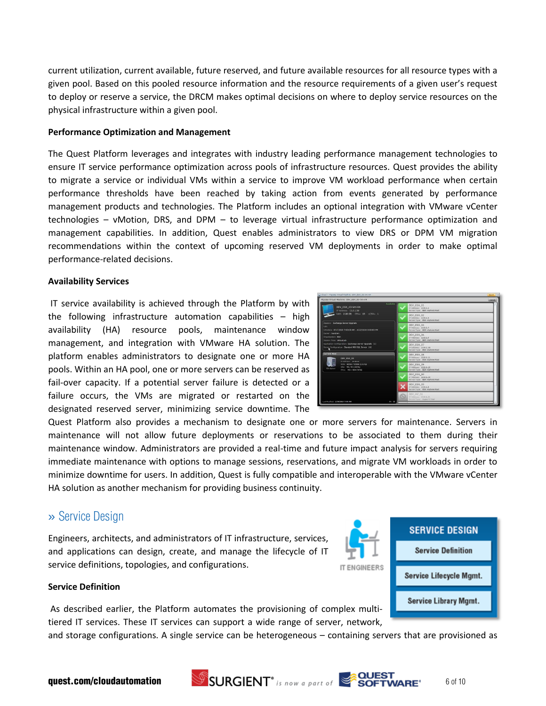current utilization, current available, future reserved, and future available resources for all resource types with a given pool. Based on this pooled resource information and the resource requirements of a given user's request to deploy or reserve a service, the DRCM makes optimal decisions on where to deploy service resources on the physical infrastructure within a given pool.

#### **Performance Optimization and Management**

The Quest Platform leverages and integrates with industry leading performance management technologies to ensure IT service performance optimization across pools of infrastructure resources. Quest provides the ability to migrate a service or individual VMs within a service to improve VM workload performance when certain performance thresholds have been reached by taking action from events generated by performance management products and technologies. The Platform includes an optional integration with VMware vCenter technologies – vMotion, DRS, and DPM – to leverage virtual infrastructure performance optimization and management capabilities. In addition, Quest enables administrators to view DRS or DPM VM migration recommendations within the context of upcoming reserved VM deployments in order to make optimal performance-related decisions.

#### **Availability Services**

IT service availability is achieved through the Platform by with the following infrastructure automation capabilities – high availability (HA) resource pools, maintenance window management, and integration with VMware HA solution. The platform enables administrators to designate one or more HA pools. Within an HA pool, one or more servers can be reserved as fail-over capacity. If a potential server failure is detected or a failure occurs, the VMs are migrated or restarted on the designated reserved server, minimizing service downtime. The

| Migrate Virtual Machine: DEV_ESX_03-Vm-04                                                                                                                                     |        |                                                                       | Cancel. |
|-------------------------------------------------------------------------------------------------------------------------------------------------------------------------------|--------|-----------------------------------------------------------------------|---------|
| Available<br>DEV_ESX_03-Vm-04<br>IP Address: 13.5.1.58                                                                                                                        |        | DEV ESX 01<br>IP Address: 13.5.1.4<br>Server Type: ESX vSphere Host   |         |
| RAM: 2,00 GB EPUs: 15 vCPUs: 1                                                                                                                                                |        | DEV ESX 02<br>IF Address: 13.5.1.5<br>Server Type: ESX vSphere Host   |         |
| Session: Exchange Server Uporade<br>$\mathcal{L}$<br>Schedule: 4/17/2010 7:00:00 AM - 4/22/2010 3:00:08 PM                                                                    |        | DEV_ESX_04<br>1P Address: 13.5.1.7<br>Service Type: ESX »Sphere Hoat  |         |
| Outset: mandom<br>Organization: R&D<br>Session Type: VirtualLab<br>Application Configuration: Exchange Server Upgrade [1]<br>Server Configuration: Standard MS-SOL Server [4] |        | DEV ESX 06<br>1P Address   13.5.1.9<br>Server Type: ESX vSphare Host  |         |
|                                                                                                                                                                               |        | DEV ESX 07<br>IP Address: 13.5.1.10<br>Server Type: ESX vSphere Host  |         |
| <b>Current Host</b><br>DEV ESX 03<br>19 Address: 13.5.1-6<br>RAHI 66560 / 65536 (101%)<br>VHz: 50 / 50 (100%)<br>EX violent<br>EFUs: 750 / 800 (93%)                          |        | DEV ESX 08<br>1P Address: 15.5.1.11<br>Server Type: BSX vSphere Host  |         |
|                                                                                                                                                                               |        | DEV ESX 09<br>IP Address: 13.5.1.12<br>Server Type: ESX vSphare Host  |         |
|                                                                                                                                                                               |        | DEV ESX 10<br>IP Address: 13.5.1.13<br>Server Type: #\$X vSphere Host |         |
|                                                                                                                                                                               |        | DEV ESX 05<br>SF Address: 13.5.1.8<br>Server Type: ESX vSphere Host   |         |
|                                                                                                                                                                               |        | DEV HV 01<br>3F Altheim: 13.5.1.51<br>Server Type: Hyper-V Hoat       |         |
| Last Nodified: 1/29/2010 7:09 AM                                                                                                                                              | ID: 22 |                                                                       |         |

Quest Platform also provides a mechanism to designate one or more servers for maintenance. Servers in maintenance will not allow future deployments or reservations to be associated to them during their maintenance window. Administrators are provided a real-time and future impact analysis for servers requiring immediate maintenance with options to manage sessions, reservations, and migrate VM workloads in order to minimize downtime for users. In addition, Quest is fully compatible and interoperable with the VMware vCenter HA solution as another mechanism for providing business continuity.

# » Service Design

Engineers, architects, and administrators of IT infrastructure, services, and applications can design, create, and manage the lifecycle of IT service definitions, topologies, and configurations.



#### **Service Definition**

As described earlier, the Platform automates the provisioning of complex multitiered IT services. These IT services can support a wide range of server, network,

and storage configurations. A single service can be heterogeneous – containing servers that are provisioned as

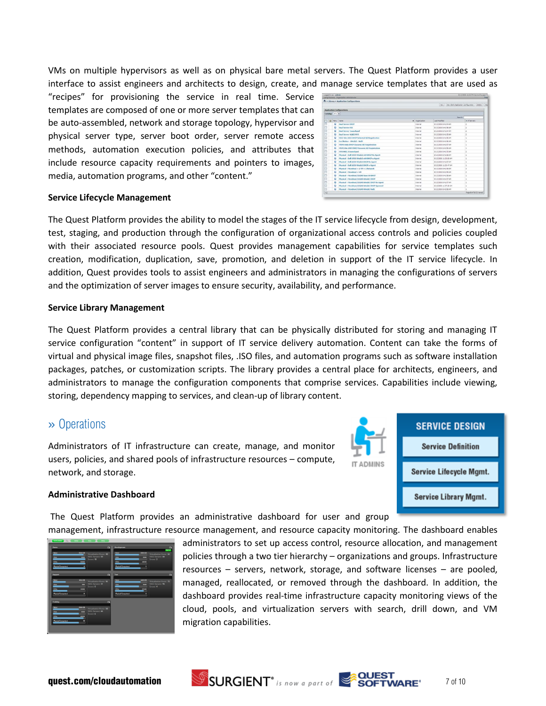VMs on multiple hypervisors as well as on physical bare metal servers. The Quest Platform provides a user interface to assist engineers and architects to design, create, and manage service templates that are used as

"recipes" for provisioning the service in real time. Service templates are composed of one or more server templates that can be auto-assembled, network and storage topology, hypervisor and physical server type, server boot order, server remote access methods, automation execution policies, and attributes that include resource capacity requirements and pointers to images, media, automation programs, and other "content."

|                 |             |            | T = Library = Application Configurations         |  |                  |                       |                                                           |
|-----------------|-------------|------------|--------------------------------------------------|--|------------------|-----------------------|-----------------------------------------------------------|
|                 |             |            |                                                  |  |                  |                       | New   New Blank Application Configuration   Delete   Palc |
|                 |             |            | <b>Application Configurations</b>                |  |                  |                       |                                                           |
|                 |             |            |                                                  |  |                  |                       |                                                           |
| Catalog: Any M. |             |            |                                                  |  |                  |                       | Search!                                                   |
| O.              | A Meru Name |            |                                                  |  | - Organization   | Last Hodified         | a of Servers                                              |
| ⊡               |             | $\bullet$  | <b>Deal Service ONCR</b>                         |  | <b>Internal</b>  | 8/13/2008 8:41:54 AM  |                                                           |
| D               |             | ۰          | <b>Dual Server ESX</b>                           |  | <b>Shhemal</b>   | 8/13/2008 8-41/56 AM  | z                                                         |
| O               |             | $\circ$    | <b>Deal Server Launchead</b>                     |  | <b>Systemal</b>  | 8/13/2008 B-40/54 AM  | ä                                                         |
| Ë               |             | ۰          | Deal Service W263 HVS                            |  | Sydermal.        | 8/13/2008 8:41:55 AM  | ž                                                         |
| D               |             | o          | ESX3 Win 2003 EHCP Selected AD Registration      |  | <b>Internal</b>  | 8/13/2008 8:41:56 AM  | x                                                         |
| D               |             | $\bullet$  | Fax Highway - Was He'll - Ned 1                  |  | Internal         | 8/13/2008 8:41:36 AM  | s.                                                        |
| o               |             | $\bullet$  | HEICH Vista DIKE Dynamic AD Registration         |  | <b>Sytemal</b>   | A/13/2008 8-41-57 AM  | t                                                         |
| D               |             | $\circ$    | 149/5 Win 2003 DNCP Dynamic AD Registration      |  | Systemal.        | A112/2008 8:41:56 AM  | ¥                                                         |
| ö               |             | $\epsilon$ | 1975 NASL 2 Lounchpad                            |  | <b>Sydernal</b>  | 8/13/2008 8:41:55 AM  | z                                                         |
| Đ               |             | $\bullet$  | Physical - Dell 1950 Win2lc3 x64 DHCP No Agent   |  | <b>Sydnessed</b> | 8/13/2008 8:41:58 AM  | s.                                                        |
| ö               |             | $\bullet$  | Physical - Bell 1950 Win2k3 x64 DHCP w Agent.    |  | <b>Internal</b>  | 8/13/2008 11:35:08 AM | ź.                                                        |
| D               |             | $\circ$    | Physical - Dell 2650 Win2k3 DHCP ho Agent        |  | <b>Internal</b>  | 8/13/2008 8:41:57 AM  | s.                                                        |
| ö               |             | ۰          | Physical - Dell 2650 Win2k3 DHCP w Agent         |  | <b>Systemal</b>  | 8/13/2008 11:35:47 AM | s                                                         |
| Đ               |             | $\bullet$  | Physical - Hicrobost + 2 VH + 2 Network          |  | Schemal          | 8/13/2008 8:41:59 AM  | 3                                                         |
| E               |             | $\bullet$  | <b>Physical - Hicrobost + VH</b>                 |  | <b>Shiernal</b>  | 8/13/2008 8:41:59 AM  | $\overline{z}$                                            |
| ö               |             | o          | Physical - Hicrobost/GX240 Suse 10 DHCP          |  | <b>Sylema</b>    | 8/13/2008 8:40:58 AM  | x                                                         |
| Ð               |             | ۰          | Physical - Hicrohost/(X240 Wa/2k3 DHCP           |  | <b>Snitennal</b> | A/13/2008 8:41:57 AM  | x                                                         |
| O               |             | $\circ$    | Physical - Hicroboot /CX240 Win2k3 DHCP No Agent |  | <b>Sylamal</b>   | 8/13/2008 8:41:57 AM  | r.                                                        |
| ö               |             | o          | Physical - Hicrobost/GX240 We2lc1 DHCP Spanned   |  | <b>Shiernal</b>  | 8/13/2008 11:37:36 AM | x                                                         |
| O               |             | ۰          | Physical - Hicrobost/GX240 Win2k3 Nail2          |  | <b>Internal</b>  | 8/13/2008 8:41:58 AM  | ×                                                         |
| 32              |             |            |                                                  |  |                  |                       | Page 1 of 2 (32 here)                                     |

#### **Service Lifecycle Management**

The Quest Platform provides the ability to model the stages of the IT service lifecycle from design, development, test, staging, and production through the configuration of organizational access controls and policies coupled with their associated resource pools. Quest provides management capabilities for service templates such creation, modification, duplication, save, promotion, and deletion in support of the IT service lifecycle. In addition, Quest provides tools to assist engineers and administrators in managing the configurations of servers and the optimization of server images to ensure security, availability, and performance.

#### **Service Library Management**

The Quest Platform provides a central library that can be physically distributed for storing and managing IT service configuration "content" in support of IT service delivery automation. Content can take the forms of virtual and physical image files, snapshot files, .ISO files, and automation programs such as software installation packages, patches, or customization scripts. The library provides a central place for architects, engineers, and administrators to manage the configuration components that comprise services. Capabilities include viewing, storing, dependency mapping to services, and clean-up of library content.

## » Operations

Administrators of IT infrastructure can create, manage, and monitor users, policies, and shared pools of infrastructure resources – compute, network, and storage.



#### **Administrative Dashboard**

The Quest Platform provides an administrative dashboard for user and group

migration capabilities.

management, infrastructure resource management, and resource capacity monitoring. The dashboard enables administrators to set up access control, resource allocation, and management policies through a two tier hierarchy – organizations and groups. Infrastructure resources – servers, network, storage, and software licenses – are pooled, managed, reallocated, or removed through the dashboard. In addition, the dashboard provides real-time infrastructure capacity monitoring views of the

cloud, pools, and virtualization servers with search, drill down, and VM





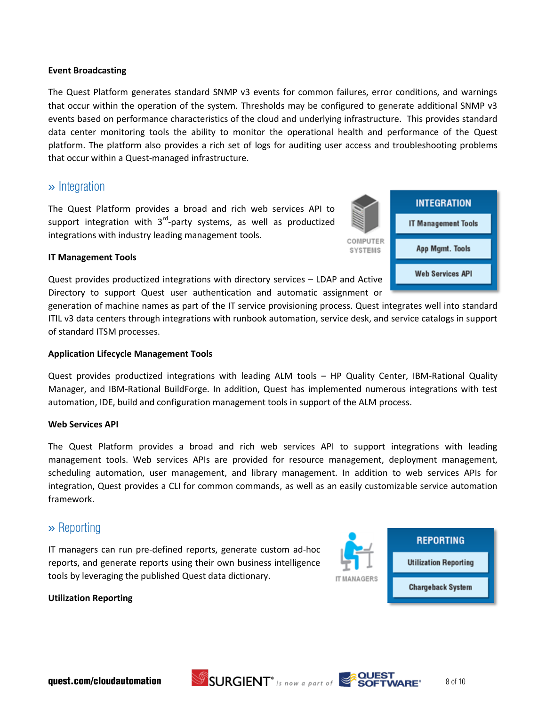#### **Event Broadcasting**

The Quest Platform generates standard SNMP v3 events for common failures, error conditions, and warnings that occur within the operation of the system. Thresholds may be configured to generate additional SNMP v3 events based on performance characteristics of the cloud and underlying infrastructure. This provides standard data center monitoring tools the ability to monitor the operational health and performance of the Quest platform. The platform also provides a rich set of logs for auditing user access and troubleshooting problems that occur within a Quest-managed infrastructure.

## » Integration

The Quest Platform provides a broad and rich web services API to support integration with 3<sup>rd</sup>-party systems, as well as productized integrations with industry leading management tools.



#### **IT Management Tools**

Quest provides productized integrations with directory services – LDAP and Active Directory to support Quest user authentication and automatic assignment or

generation of machine names as part of the IT service provisioning process. Quest integrates well into standard ITIL v3 data centers through integrations with runbook automation, service desk, and service catalogs in support of standard ITSM processes.

#### **Application Lifecycle Management Tools**

Quest provides productized integrations with leading ALM tools – HP Quality Center, IBM-Rational Quality Manager, and IBM-Rational BuildForge. In addition, Quest has implemented numerous integrations with test automation, IDE, build and configuration management tools in support of the ALM process.

#### **Web Services API**

The Quest Platform provides a broad and rich web services API to support integrations with leading management tools. Web services APIs are provided for resource management, deployment management, scheduling automation, user management, and library management. In addition to web services APIs for integration, Quest provides a CLI for common commands, as well as an easily customizable service automation framework.

## » Reporting

IT managers can run pre-defined reports, generate custom ad-hoc reports, and generate reports using their own business intelligence tools by leveraging the published Quest data dictionary.



#### **Utilization Reporting**